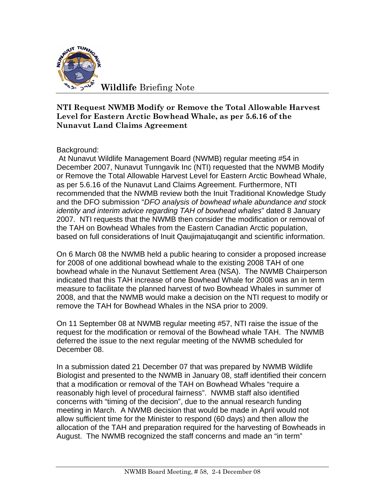

## **NTI Request NWMB Modify or Remove the Total Allowable Harvest Level for Eastern Arctic Bowhead Whale, as per 5.6.16 of the Nunavut Land Claims Agreement**

Background:

At Nunavut Wildlife Management Board (NWMB) regular meeting #54 in December 2007, Nunavut Tunngavik Inc (NTI) requested that the NWMB Modify or Remove the Total Allowable Harvest Level for Eastern Arctic Bowhead Whale, as per 5.6.16 of the Nunavut Land Claims Agreement. Furthermore, NTI recommended that the NWMB review both the Inuit Traditional Knowledge Study and the DFO submission "*DFO analysis of bowhead whale abundance and stock identity and interim advice regarding TAH of bowhead whales*" dated 8 January 2007. NTI requests that the NWMB then consider the modification or removal of the TAH on Bowhead Whales from the Eastern Canadian Arctic population, based on full considerations of Inuit Qaujimajatuqangit and scientific information.

On 6 March 08 the NWMB held a public hearing to consider a proposed increase for 2008 of one additional bowhead whale to the existing 2008 TAH of one bowhead whale in the Nunavut Settlement Area (NSA). The NWMB Chairperson indicated that this TAH increase of one Bowhead Whale for 2008 was an in term measure to facilitate the planned harvest of two Bowhead Whales in summer of 2008, and that the NWMB would make a decision on the NTI request to modify or remove the TAH for Bowhead Whales in the NSA prior to 2009.

On 11 September 08 at NWMB regular meeting #57, NTI raise the issue of the request for the modification or removal of the Bowhead whale TAH. The NWMB deferred the issue to the next regular meeting of the NWMB scheduled for December 08.

In a submission dated 21 December 07 that was prepared by NWMB Wildlife Biologist and presented to the NWMB in January 08, staff identified their concern that a modification or removal of the TAH on Bowhead Whales "require a reasonably high level of procedural fairness". NWMB staff also identified concerns with "timing of the decision", due to the annual research funding meeting in March. A NWMB decision that would be made in April would not allow sufficient time for the Minister to respond (60 days) and then allow the allocation of the TAH and preparation required for the harvesting of Bowheads in August. The NWMB recognized the staff concerns and made an "in term"